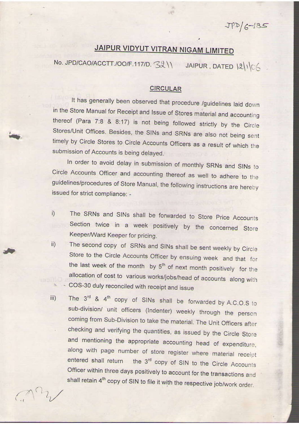$JPP/G-185$ 

## JAIPUR VIDYUT VITRAN NIGAM LIMITED

No. JPD/CAO/ACCTT./OO/F.117/D. 3211 JAIPUR, DATED 121106

## **CIRCULAR**

It has generally been observed that procedure /guidelines laid down in the Store Manual for Receipt and Issue of Stores material and accounting thereof (Para 7:8 & 8:17) is not being followed strictly by the Circle Stores/Unit Offices. Besides, the SINs and SRNs are also not being sent timely by Circle Stores to Circle Accounts Officers as a result of which the submission of Accounts is being delayed.

In order to avoid delay in submission of monthly SRNs and SINs to Circle Accounts Officer and accounting thereof as well to adhere to the guidelines/procedures of Store Manual, the following instructions are hereby issued for strict compliance: -

- The SRNs and SINs shall be forwarded to Store Price Accounts i) Section twice in a week positively by the concerned Store Keeper/Ward Keeper for pricing.
- The second copy of SRNs and SINs shall be sent weekly by Circle  $\mathsf{ii}$ ) Store to the Circle Accounts Officer by ensuing week and that for the last week of the month by 5<sup>th</sup> of next month positively for the allocation of cost to various works/jobs/head of accounts along with COS-30 duly reconciled with receipt and issue
- The  $3^{rd}$  &  $4^{th}$  copy of SINs shall be forwarded by A.C.O.S to iii) sub-division/ unit officers (Indenter) weekly through the person coming from Sub-Division to take the material. The Unit Officers after checking and verifying the quantities, as issued by the Circle Store and mentioning the appropriate accounting head of expenditure, along with page number of store register where material receipt entered shall return the 3<sup>rd</sup> copy of SIN to the Circle Accounts Officer within three days positively to account for the transactions and shall retain 4<sup>th</sup> copy of SIN to file it with the respective job/work order.

 $C_{1}^{12}$